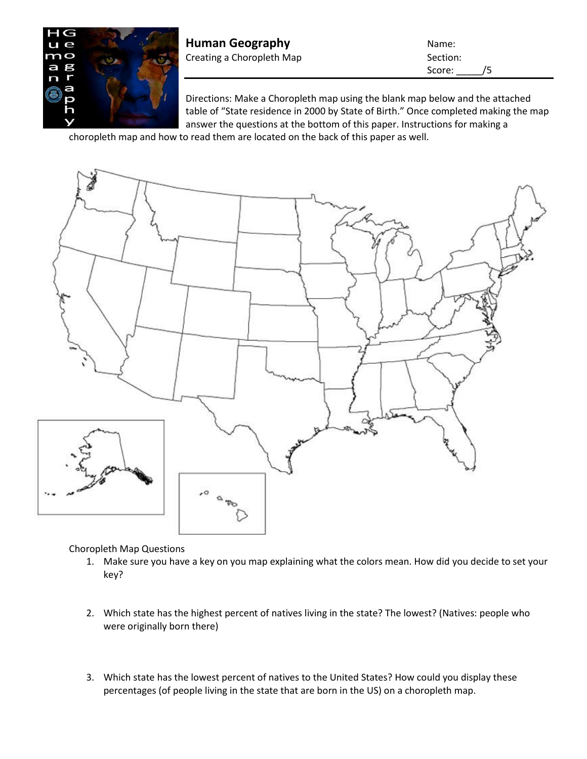

**Human Geography Name:** Name: Creating a Choropleth Map Section:

Score: /5

Directions: Make a Choropleth map using the blank map below and the attached table of "State residence in 2000 by State of Birth." Once completed making the map answer the questions at the bottom of this paper. Instructions for making a

choropleth map and how to read them are located on the back of this paper as well.



Choropleth Map Questions

- 1. Make sure you have a key on you map explaining what the colors mean. How did you decide to set your key?
- 2. Which state has the highest percent of natives living in the state? The lowest? (Natives: people who were originally born there)
- 3. Which state has the lowest percent of natives to the United States? How could you display these percentages (of people living in the state that are born in the US) on a choropleth map.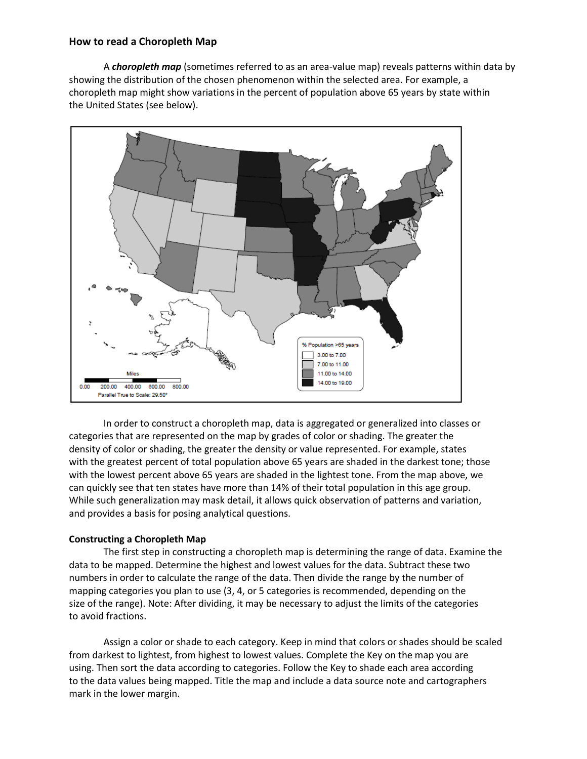## **How to read a Choropleth Map**

A *choropleth map* (sometimes referred to as an area-value map) reveals patterns within data by showing the distribution of the chosen phenomenon within the selected area. For example, a choropleth map might show variations in the percent of population above 65 years by state within the United States (see below).



In order to construct a choropleth map, data is aggregated or generalized into classes or categories that are represented on the map by grades of color or shading. The greater the density of color or shading, the greater the density or value represented. For example, states with the greatest percent of total population above 65 years are shaded in the darkest tone; those with the lowest percent above 65 years are shaded in the lightest tone. From the map above, we can quickly see that ten states have more than 14% of their total population in this age group. While such generalization may mask detail, it allows quick observation of patterns and variation, and provides a basis for posing analytical questions.

## **Constructing a Choropleth Map**

The first step in constructing a choropleth map is determining the range of data. Examine the data to be mapped. Determine the highest and lowest values for the data. Subtract these two numbers in order to calculate the range of the data. Then divide the range by the number of mapping categories you plan to use (3, 4, or 5 categories is recommended, depending on the size of the range). Note: After dividing, it may be necessary to adjust the limits of the categories to avoid fractions.

Assign a color or shade to each category. Keep in mind that colors or shades should be scaled from darkest to lightest, from highest to lowest values. Complete the Key on the map you are using. Then sort the data according to categories. Follow the Key to shade each area according to the data values being mapped. Title the map and include a data source note and cartographers mark in the lower margin.